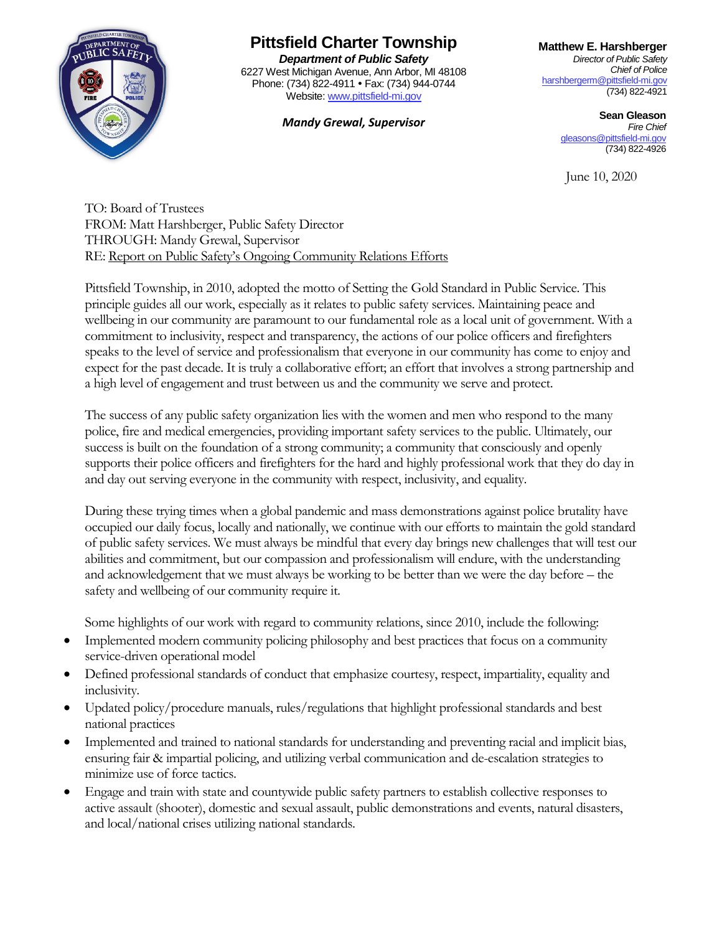

## **Pittsfield Charter Township**

*Department of Public Safety* 6227 West Michigan Avenue, Ann Arbor, MI 48108 Phone: (734) 822-4911 • Fax: (734) 944-0744 Website[: www.pittsfield-mi.gov](about:blank)

**Matthew E. Harshberger**

*Director of Public Safety Chief of Police* [harshbergerm@pittsfield-mi.gov](about:blank) (734) 822-4921

**Mandy Grewal, Supervisor Sean Gleason**<br>Fire Chief *Fire Chief* [gleasons@pittsfield-mi.gov](about:blank) (734) 822-4926

June 10, 2020

TO: Board of Trustees FROM: Matt Harshberger, Public Safety Director THROUGH: Mandy Grewal, Supervisor RE: Report on Public Safety's Ongoing Community Relations Efforts

Pittsfield Township, in 2010, adopted the motto of Setting the Gold Standard in Public Service. This principle guides all our work, especially as it relates to public safety services. Maintaining peace and wellbeing in our community are paramount to our fundamental role as a local unit of government. With a commitment to inclusivity, respect and transparency, the actions of our police officers and firefighters speaks to the level of service and professionalism that everyone in our community has come to enjoy and expect for the past decade. It is truly a collaborative effort; an effort that involves a strong partnership and a high level of engagement and trust between us and the community we serve and protect.

The success of any public safety organization lies with the women and men who respond to the many police, fire and medical emergencies, providing important safety services to the public. Ultimately, our success is built on the foundation of a strong community; a community that consciously and openly supports their police officers and firefighters for the hard and highly professional work that they do day in and day out serving everyone in the community with respect, inclusivity, and equality.

During these trying times when a global pandemic and mass demonstrations against police brutality have occupied our daily focus, locally and nationally, we continue with our efforts to maintain the gold standard of public safety services. We must always be mindful that every day brings new challenges that will test our abilities and commitment, but our compassion and professionalism will endure, with the understanding and acknowledgement that we must always be working to be better than we were the day before – the safety and wellbeing of our community require it.

Some highlights of our work with regard to community relations, since 2010, include the following:

- Implemented modern community policing philosophy and best practices that focus on a community service-driven operational model
- Defined professional standards of conduct that emphasize courtesy, respect, impartiality, equality and inclusivity.
- Updated policy/procedure manuals, rules/regulations that highlight professional standards and best national practices
- Implemented and trained to national standards for understanding and preventing racial and implicit bias, ensuring fair & impartial policing, and utilizing verbal communication and de-escalation strategies to minimize use of force tactics.
- Engage and train with state and countywide public safety partners to establish collective responses to active assault (shooter), domestic and sexual assault, public demonstrations and events, natural disasters, and local/national crises utilizing national standards.